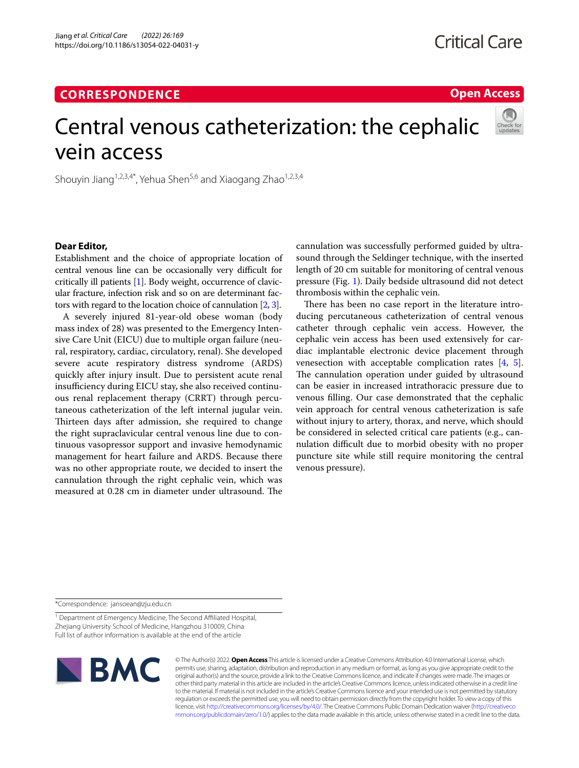# **CORRESPONDENCE**

# **Open Access**

# Central venous catheterization: the cephalic vein access



Shouyin Jiang<sup>1,2,3,4\*</sup>, Yehua Shen<sup>5,6</sup> and Xiaogang Zhao<sup>1,2,3,4</sup>

# **Dear Editor,**

Establishment and the choice of appropriate location of central venous line can be occasionally very difficult for critically ill patients [\[1](#page-1-0)]. Body weight, occurrence of clavicular fracture, infection risk and so on are determinant factors with regard to the location choice of cannulation [\[2](#page-1-1), [3](#page-1-2)].

A severely injured 81-year-old obese woman (body mass index of 28) was presented to the Emergency Intensive Care Unit (EICU) due to multiple organ failure (neural, respiratory, cardiac, circulatory, renal). She developed severe acute respiratory distress syndrome (ARDS) quickly after injury insult. Due to persistent acute renal insufficiency during EICU stay, she also received continuous renal replacement therapy (CRRT) through percutaneous catheterization of the left internal jugular vein. Thirteen days after admission, she required to change the right supraclavicular central venous line due to continuous vasopressor support and invasive hemodynamic management for heart failure and ARDS. Because there was no other appropriate route, we decided to insert the cannulation through the right cephalic vein, which was measured at 0.28 cm in diameter under ultrasound. The cannulation was successfully performed guided by ultrasound through the Seldinger technique, with the inserted length of 20 cm suitable for monitoring of central venous pressure (Fig. [1\)](#page-1-3). Daily bedside ultrasound did not detect thrombosis within the cephalic vein.

There has been no case report in the literature introducing percutaneous catheterization of central venous catheter through cephalic vein access. However, the cephalic vein access has been used extensively for cardiac implantable electronic device placement through venesection with acceptable complication rates [\[4,](#page-1-4) [5](#page-1-5)]. The cannulation operation under guided by ultrasound can be easier in increased intrathoracic pressure due to venous flling. Our case demonstrated that the cephalic vein approach for central venous catheterization is safe without injury to artery, thorax, and nerve, which should be considered in selected critical care patients (e.g., cannulation difficult due to morbid obesity with no proper puncture site while still require monitoring the central venous pressure).

\*Correspondence: jansoean@zju.edu.cn

<sup>1</sup> Department of Emergency Medicine, The Second Affiliated Hospital, Zhejiang University School of Medicine, Hangzhou 310009, China Full list of author information is available at the end of the article



© The Author(s) 2022. **Open Access** This article is licensed under a Creative Commons Attribution 4.0 International License, which permits use, sharing, adaptation, distribution and reproduction in any medium or format, as long as you give appropriate credit to the original author(s) and the source, provide a link to the Creative Commons licence, and indicate if changes were made. The images or other third party material in this article are included in the article's Creative Commons licence, unless indicated otherwise in a credit line to the material. If material is not included in the article's Creative Commons licence and your intended use is not permitted by statutory regulation or exceeds the permitted use, you will need to obtain permission directly from the copyright holder. To view a copy of this licence, visit [http://creativecommons.org/licenses/by/4.0/.](http://creativecommons.org/licenses/by/4.0/) The Creative Commons Public Domain Dedication waiver ([http://creativeco](http://creativecommons.org/publicdomain/zero/1.0/) [mmons.org/publicdomain/zero/1.0/](http://creativecommons.org/publicdomain/zero/1.0/)) applies to the data made available in this article, unless otherwise stated in a credit line to the data.